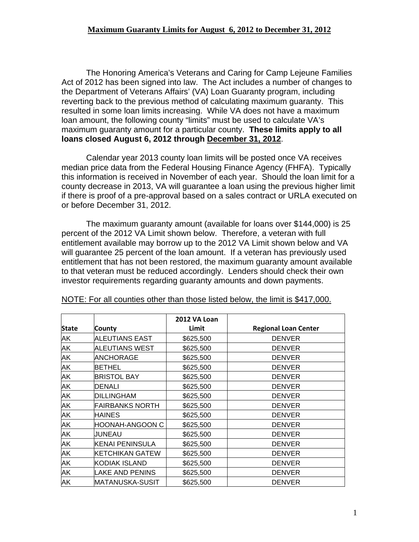## **Maximum Guaranty Limits for August 6, 2012 to December 31, 2012**

 The Honoring America's Veterans and Caring for Camp Lejeune Families Act of 2012 has been signed into law. The Act includes a number of changes to the Department of Veterans Affairs' (VA) Loan Guaranty program, including reverting back to the previous method of calculating maximum guaranty. This resulted in some loan limits increasing. While VA does not have a maximum loan amount, the following county "limits" must be used to calculate VA's maximum guaranty amount for a particular county. **These limits apply to all loans closed August 6, 2012 through December 31, 2012**.

Calendar year 2013 county loan limits will be posted once VA receives median price data from the Federal Housing Finance Agency (FHFA). Typically this information is received in November of each year. Should the loan limit for a county decrease in 2013, VA will guarantee a loan using the previous higher limit if there is proof of a pre-approval based on a sales contract or URLA executed on or before December 31, 2012.

The maximum guaranty amount (available for loans over \$144,000) is 25 percent of the 2012 VA Limit shown below. Therefore, a veteran with full entitlement available may borrow up to the 2012 VA Limit shown below and VA will guarantee 25 percent of the loan amount. If a veteran has previously used entitlement that has not been restored, the maximum guaranty amount available to that veteran must be reduced accordingly. Lenders should check their own investor requirements regarding guaranty amounts and down payments.

|              |                        | <b>2012 VA Loan</b> |                             |
|--------------|------------------------|---------------------|-----------------------------|
| <b>State</b> | County                 | Limit               | <b>Regional Loan Center</b> |
| AK           | <b>ALEUTIANS EAST</b>  | \$625,500           | <b>DENVER</b>               |
| AΚ           | <b>ALEUTIANS WEST</b>  | \$625,500           | <b>DENVER</b>               |
| AK           | <b>ANCHORAGE</b>       | \$625,500           | <b>DENVER</b>               |
| AK           | <b>BETHEL</b>          | \$625,500           | <b>DENVER</b>               |
| AK           | <b>BRISTOL BAY</b>     | \$625,500           | <b>DENVER</b>               |
| AΚ           | <b>DENALI</b>          | \$625,500           | <b>DENVER</b>               |
| AK           | <b>DILLINGHAM</b>      | \$625,500           | <b>DENVER</b>               |
| AK           | <b>FAIRBANKS NORTH</b> | \$625,500           | <b>DENVER</b>               |
| AK           | <b>HAINES</b>          | \$625,500           | <b>DENVER</b>               |
| AK           | HOONAH-ANGOON C        | \$625,500           | <b>DENVER</b>               |
| AK           | JUNEAU                 | \$625,500           | <b>DENVER</b>               |
| AK           | <b>KENAI PENINSULA</b> | \$625,500           | <b>DENVER</b>               |
| AK           | <b>KETCHIKAN GATEW</b> | \$625,500           | <b>DENVER</b>               |
| AK           | KODIAK ISLAND          | \$625,500           | <b>DENVER</b>               |
| AK           | LAKE AND PENINS        | \$625,500           | <b>DENVER</b>               |
| AK           | MATANUSKA-SUSIT        | \$625,500           | <b>DENVER</b>               |

NOTE: For all counties other than those listed below, the limit is \$417,000.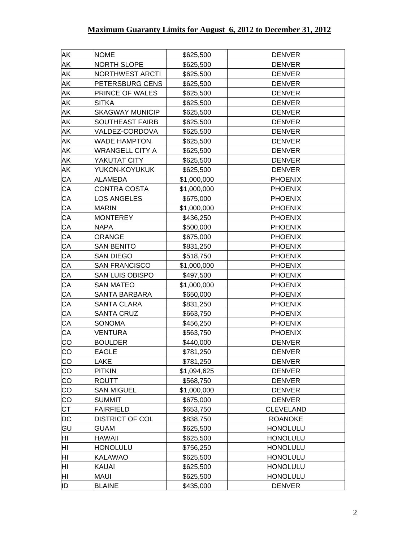| AK              | <b>NOME</b>            | \$625,500   | <b>DENVER</b>    |
|-----------------|------------------------|-------------|------------------|
| AK              | <b>NORTH SLOPE</b>     | \$625,500   | <b>DENVER</b>    |
| AK              | <b>NORTHWEST ARCTI</b> | \$625,500   | <b>DENVER</b>    |
| AK              | PETERSBURG CENS        | \$625,500   | <b>DENVER</b>    |
| AK              | PRINCE OF WALES        | \$625,500   | <b>DENVER</b>    |
| AK              | <b>SITKA</b>           | \$625,500   | <b>DENVER</b>    |
| AK              | <b>SKAGWAY MUNICIP</b> | \$625,500   | <b>DENVER</b>    |
| AK              | <b>SOUTHEAST FAIRB</b> | \$625,500   | <b>DENVER</b>    |
| AK              | VALDEZ-CORDOVA         | \$625,500   | <b>DENVER</b>    |
| AK              | <b>WADE HAMPTON</b>    | \$625,500   | <b>DENVER</b>    |
| AK              | <b>WRANGELL CITY A</b> | \$625,500   | <b>DENVER</b>    |
| ΑK              | YAKUTAT CITY           | \$625,500   | <b>DENVER</b>    |
| AK              | YUKON-KOYUKUK          | \$625,500   | <b>DENVER</b>    |
| CA              | ALAMEDA                | \$1,000,000 | <b>PHOENIX</b>   |
| CA              | <b>CONTRA COSTA</b>    | \$1,000,000 | <b>PHOENIX</b>   |
| СA              | <b>LOS ANGELES</b>     | \$675,000   | <b>PHOENIX</b>   |
| CA              | <b>MARIN</b>           | \$1,000,000 | <b>PHOENIX</b>   |
| CA              | <b>MONTEREY</b>        | \$436,250   | <b>PHOENIX</b>   |
| СA              | <b>NAPA</b>            | \$500,000   | <b>PHOENIX</b>   |
| CA              | <b>ORANGE</b>          | \$675,000   | <b>PHOENIX</b>   |
| CA              | <b>SAN BENITO</b>      | \$831,250   | <b>PHOENIX</b>   |
| СA              | <b>SAN DIEGO</b>       | \$518,750   | <b>PHOENIX</b>   |
| CA              | <b>SAN FRANCISCO</b>   | \$1,000,000 | <b>PHOENIX</b>   |
| CA              | <b>SAN LUIS OBISPO</b> | \$497,500   | <b>PHOENIX</b>   |
| СA              | <b>SAN MATEO</b>       | \$1,000,000 | <b>PHOENIX</b>   |
| CA              | <b>SANTA BARBARA</b>   | \$650,000   | <b>PHOENIX</b>   |
| CA              | <b>SANTA CLARA</b>     | \$831,250   | <b>PHOENIX</b>   |
| СA              | <b>SANTA CRUZ</b>      | \$663,750   | <b>PHOENIX</b>   |
| CA              | <b>SONOMA</b>          | \$456,250   | <b>PHOENIX</b>   |
| CA              | <b>VENTURA</b>         | \$563,750   | <b>PHOENIX</b>   |
| CO              | <b>BOULDER</b>         | \$440,000   | <b>DENVER</b>    |
| CO              | <b>EAGLE</b>           | \$781,250   | <b>DENVER</b>    |
| CO              | <b>LAKE</b>            | \$781,250   | <b>DENVER</b>    |
| CO              | <b>PITKIN</b>          | \$1,094,625 | <b>DENVER</b>    |
| $\overline{CO}$ | <b>ROUTT</b>           | \$568,750   | <b>DENVER</b>    |
| CO              | <b>SAN MIGUEL</b>      | \$1,000,000 | <b>DENVER</b>    |
| CO              | <b>SUMMIT</b>          | \$675,000   | <b>DENVER</b>    |
| <b>CT</b>       | <b>FAIRFIELD</b>       | \$653,750   | <b>CLEVELAND</b> |
| DC              | <b>DISTRICT OF COL</b> | \$838,750   | <b>ROANOKE</b>   |
| GU              | <b>GUAM</b>            | \$625,500   | <b>HONOLULU</b>  |
| HI              | <b>HAWAII</b>          | \$625,500   | <b>HONOLULU</b>  |
| HІ              | <b>HONOLULU</b>        | \$756,250   | <b>HONOLULU</b>  |
| ΗI              | <b>KALAWAO</b>         | \$625,500   | <b>HONOLULU</b>  |
| HI              | <b>KAUAI</b>           | \$625,500   | <b>HONOLULU</b>  |
| ΗI              | <b>MAUI</b>            | \$625,500   | <b>HONOLULU</b>  |
| ID              | <b>BLAINE</b>          | \$435,000   | <b>DENVER</b>    |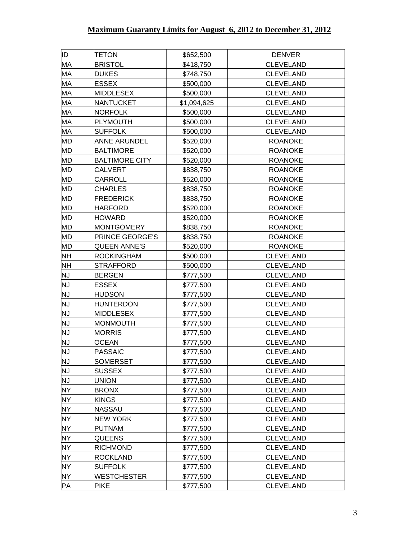| ID.       | <b>TETON</b>           | \$652,500   | <b>DENVER</b>    |
|-----------|------------------------|-------------|------------------|
| МA        | <b>BRISTOL</b>         | \$418,750   | <b>CLEVELAND</b> |
| MA        | <b>DUKES</b>           | \$748,750   | <b>CLEVELAND</b> |
| MA        | <b>ESSEX</b>           | \$500,000   | <b>CLEVELAND</b> |
| МA        | <b>MIDDLESEX</b>       | \$500,000   | <b>CLEVELAND</b> |
| МA        | <b>NANTUCKET</b>       | \$1,094,625 | <b>CLEVELAND</b> |
| MA        | NORFOLK                | \$500,000   | <b>CLEVELAND</b> |
| MA        | <b>PLYMOUTH</b>        | \$500,000   | <b>CLEVELAND</b> |
| MA        | <b>SUFFOLK</b>         | \$500,000   | CLEVELAND        |
| <b>MD</b> | <b>ANNE ARUNDEL</b>    | \$520,000   | <b>ROANOKE</b>   |
| MD        | <b>BALTIMORE</b>       | \$520,000   | <b>ROANOKE</b>   |
| <b>MD</b> | <b>BALTIMORE CITY</b>  | \$520,000   | <b>ROANOKE</b>   |
| <b>MD</b> | <b>CALVERT</b>         | \$838,750   | <b>ROANOKE</b>   |
| MD        | <b>CARROLL</b>         | \$520,000   | <b>ROANOKE</b>   |
| <b>MD</b> | <b>CHARLES</b>         | \$838,750   | <b>ROANOKE</b>   |
| <b>MD</b> | <b>FREDERICK</b>       | \$838,750   | <b>ROANOKE</b>   |
| MD        | <b>HARFORD</b>         | \$520,000   | <b>ROANOKE</b>   |
| <b>MD</b> | <b>HOWARD</b>          | \$520,000   | <b>ROANOKE</b>   |
| <b>MD</b> | MONTGOMERY             | \$838,750   | <b>ROANOKE</b>   |
| MD        | <b>PRINCE GEORGE'S</b> | \$838,750   | <b>ROANOKE</b>   |
| <b>MD</b> | <b>QUEEN ANNE'S</b>    | \$520,000   | <b>ROANOKE</b>   |
| <b>NH</b> | <b>ROCKINGHAM</b>      | \$500,000   | <b>CLEVELAND</b> |
| <b>NH</b> | STRAFFORD              | \$500,000   | <b>CLEVELAND</b> |
| <b>NJ</b> | <b>BERGEN</b>          | \$777,500   | <b>CLEVELAND</b> |
| <b>NJ</b> | <b>ESSEX</b>           | \$777,500   | <b>CLEVELAND</b> |
| <b>NJ</b> | <b>HUDSON</b>          | \$777,500   | <b>CLEVELAND</b> |
| <b>NJ</b> | <b>HUNTERDON</b>       | \$777,500   | CLEVELAND        |
| <b>NJ</b> | MIDDLESEX              | \$777,500   | <b>CLEVELAND</b> |
| <b>NJ</b> | <b>MONMOUTH</b>        | \$777,500   | <b>CLEVELAND</b> |
| <b>NJ</b> | <b>MORRIS</b>          | \$777,500   | <b>CLEVELAND</b> |
| <b>NJ</b> | <b>OCEAN</b>           | \$777,500   | <b>CLEVELAND</b> |
| <b>NJ</b> | <b>PASSAIC</b>         | \$777,500   | <b>CLEVELAND</b> |
| <b>NJ</b> | <b>SOMERSET</b>        | \$777,500   | <b>CLEVELAND</b> |
| <b>NJ</b> | <b>SUSSEX</b>          | \$777,500   | <b>CLEVELAND</b> |
| <b>NJ</b> | <b>UNION</b>           | \$777,500   | CLEVELAND        |
| <b>NY</b> | <b>BRONX</b>           | \$777,500   | <b>CLEVELAND</b> |
| <b>NY</b> | <b>KINGS</b>           | \$777,500   | <b>CLEVELAND</b> |
| <b>NY</b> | <b>NASSAU</b>          | \$777,500   | <b>CLEVELAND</b> |
| <b>NY</b> | <b>NEW YORK</b>        | \$777,500   | <b>CLEVELAND</b> |
| NY.       | <b>PUTNAM</b>          | \$777,500   | <b>CLEVELAND</b> |
| <b>NY</b> | <b>QUEENS</b>          | \$777,500   | <b>CLEVELAND</b> |
| <b>NY</b> | <b>RICHMOND</b>        | \$777,500   | <b>CLEVELAND</b> |
| NY.       | <b>ROCKLAND</b>        | \$777,500   | <b>CLEVELAND</b> |
| <b>NY</b> | <b>SUFFOLK</b>         | \$777,500   | <b>CLEVELAND</b> |
| <b>NY</b> | <b>WESTCHESTER</b>     | \$777,500   | <b>CLEVELAND</b> |
| PA        | <b>PIKE</b>            | \$777,500   | <b>CLEVELAND</b> |